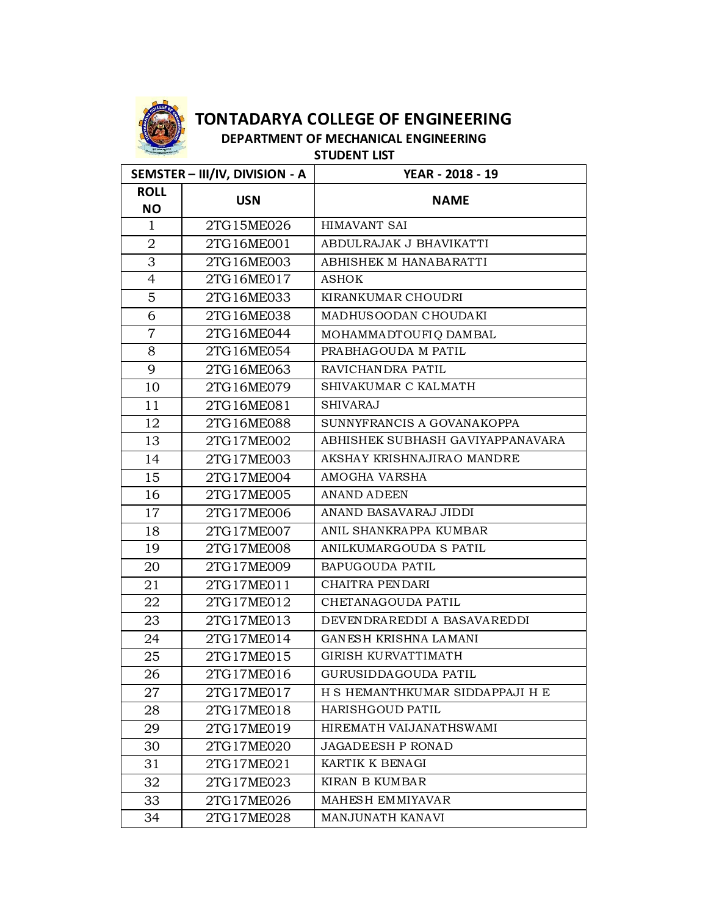

**DEPARTMENT OF MECHANICAL ENGINEERING** 

**STUDENT LIST**

| SEMSTER - III/IV, DIVISION - A |            | YEAR - 2018 - 19                 |
|--------------------------------|------------|----------------------------------|
| <b>ROLL</b>                    | <b>USN</b> | <b>NAME</b>                      |
| <b>NO</b>                      |            |                                  |
| 1                              | 2TG15ME026 | HIMAVANT SAI                     |
| 2                              | 2TG16ME001 | ABDULRAJAK J BHAVIKATTI          |
| 3                              | 2TG16ME003 | ABHISHEK M HANABARATTI           |
| $\overline{4}$                 | 2TG16ME017 | <b>ASHOK</b>                     |
| 5                              | 2TG16ME033 | KIRANKUMAR CHOUDRI               |
| 6                              | 2TG16ME038 | MADHUS OODAN CHOUDAKI            |
| $\overline{7}$                 | 2TG16ME044 | MOHAMMADTOUFIQ DAMBAL            |
| 8                              | 2TG16ME054 | PRABHAGOUDA M PATIL              |
| 9                              | 2TG16ME063 | RAVICHANDRA PATIL                |
| 10                             | 2TG16ME079 | SHIVAKUMAR C KALMATH             |
| 11                             | 2TG16ME081 | <b>SHIVARAJ</b>                  |
| 12                             | 2TG16ME088 | SUNNYFRANCIS A GOVANAKOPPA       |
| 13                             | 2TG17ME002 | ABHISHEK SUBHASH GAVIYAPPANAVARA |
| 14                             | 2TG17ME003 | AKSHAY KRISHNAJIRAO MANDRE       |
| 15                             | 2TG17ME004 | AMOGHA VARSHA                    |
| 16                             | 2TG17ME005 | <b>ANAND ADEEN</b>               |
| 17                             | 2TG17ME006 | ANAND BASAVARAJ JIDDI            |
| 18                             | 2TG17ME007 | ANIL SHANKRAPPA KUMBAR           |
| 19                             | 2TG17ME008 | ANILKUMARGOUDA S PATIL           |
| 20                             | 2TG17ME009 | BAPUGOUDA PATIL                  |
| 21                             | 2TG17ME011 | CHAITRA PENDARI                  |
| 22                             | 2TG17ME012 | CHETANAGOUDA PATIL               |
| 23                             | 2TG17ME013 | DEVENDRAREDDI A BASAVAREDDI      |
| 24                             | 2TG17ME014 | GANESH KRISHNA LAMANI            |
| 25                             | 2TG17ME015 | <b>GIRISH KURVATTIMATH</b>       |
| 26                             | 2TG17ME016 | GURUSIDDAGOUDA PATIL             |
| 27                             | 2TG17ME017 | H S HEMANTHKUMAR SIDDAPPAJI H E  |
| 28                             | 2TG17ME018 | HARISHGOUD PATIL                 |
| 29                             | 2TG17ME019 | HIREMATH VAIJANATHSWAMI          |
| 30                             | 2TG17ME020 | <b>JAGADEESH P RONAD</b>         |
| 31                             | 2TG17ME021 | KARTIK K BENAGI                  |
| 32                             | 2TG17ME023 | KIRAN B KUMBAR                   |
| 33                             | 2TG17ME026 | MAHESH EMMIYAVAR                 |
| 34                             | 2TG17ME028 | MANJUNATH KANAVI                 |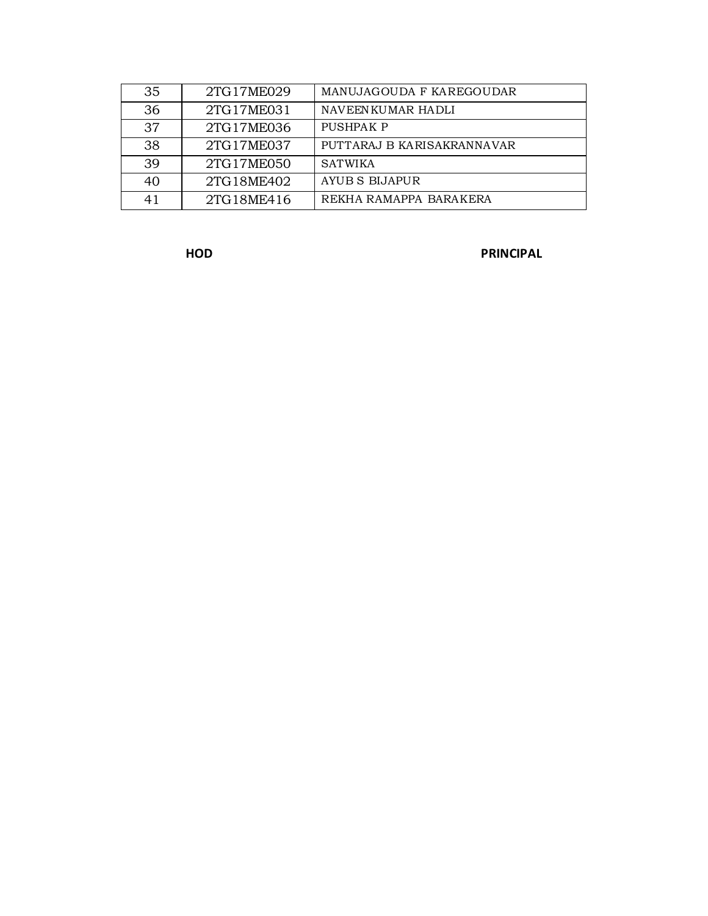| 35 | 2TG17ME029 | MANUJAGOUDA F KAREGOUDAR   |
|----|------------|----------------------------|
| 36 | 2TG17ME031 | NAVEENKUMAR HADLI          |
| 37 | 2TG17ME036 | PUSHPAK P                  |
| 38 | 2TG17ME037 | PUTTARAJ B KARISAKRANNAVAR |
| 39 | 2TG17ME050 | <b>SATWIKA</b>             |
| 40 | 2TG18ME402 | AYUB S BIJAPUR             |
| 41 | 2TG18ME416 | REKHA RAMAPPA BARAKERA     |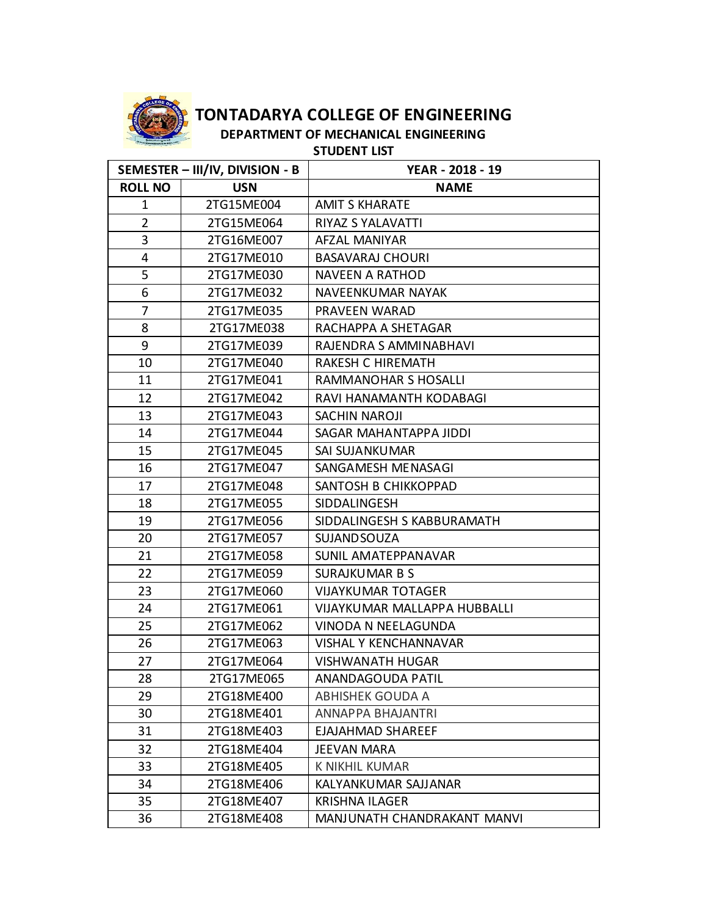

**DEPARTMENT OF MECHANICAL ENGINEERING** 

**STUDENT LIST**

|                | SEMESTER - III/IV, DIVISION - B | YEAR - 2018 - 19                    |
|----------------|---------------------------------|-------------------------------------|
| <b>ROLL NO</b> | <b>USN</b>                      | <b>NAME</b>                         |
| $\mathbf{1}$   | 2TG15ME004                      | <b>AMIT S KHARATE</b>               |
| $\overline{2}$ | 2TG15ME064                      | <b>RIYAZ S YALAVATTI</b>            |
| $\mathbf{3}$   | 2TG16ME007                      | <b>AFZAL MANIYAR</b>                |
| 4              | 2TG17ME010                      | <b>BASAVARAJ CHOURI</b>             |
| 5              | 2TG17ME030                      | NAVEEN A RATHOD                     |
| 6              | 2TG17ME032                      | NAVEENKUMAR NAYAK                   |
| 7              | 2TG17ME035                      | PRAVEEN WARAD                       |
| 8              | 2TG17ME038                      | RACHAPPA A SHETAGAR                 |
| 9              | 2TG17ME039                      | RAJENDRA S AMMINABHAVI              |
| 10             | 2TG17ME040                      | <b>RAKESH C HIREMATH</b>            |
| 11             | 2TG17ME041                      | RAMMANOHAR S HOSALLI                |
| 12             | 2TG17ME042                      | RAVI HANAMANTH KODABAGI             |
| 13             | 2TG17ME043                      | <b>SACHIN NAROJI</b>                |
| 14             | 2TG17ME044                      | SAGAR MAHANTAPPA JIDDI              |
| 15             | 2TG17ME045                      | SAI SUJANKUMAR                      |
| 16             | 2TG17ME047                      | SANGAMESH MENASAGI                  |
| 17             | 2TG17ME048                      | SANTOSH B CHIKKOPPAD                |
| 18             | 2TG17ME055                      | SIDDALINGESH                        |
| 19             | 2TG17ME056                      | SIDDALINGESH S KABBURAMATH          |
| 20             | 2TG17ME057                      | <b>SUJAND SOUZA</b>                 |
| 21             | 2TG17ME058                      | SUNIL AMATEPPANAVAR                 |
| 22             | 2TG17ME059                      | <b>SURAJKUMAR B S</b>               |
| 23             | 2TG17ME060                      | <b>VIJAYKUMAR TOTAGER</b>           |
| 24             | 2TG17ME061                      | <b>VIJAYKUMAR MALLAPPA HUBBALLI</b> |
| 25             | 2TG17ME062                      | VINODA N NEELAGUNDA                 |
| 26             | 2TG17ME063                      | <b>VISHAL Y KENCHANNAVAR</b>        |
| 27             | 2TG17ME064                      | <b>VISHWANATH HUGAR</b>             |
| 28             | 2TG17ME065                      | ANANDAGOUDA PATIL                   |
| 29             | 2TG18ME400                      | <b>ABHISHEK GOUDA A</b>             |
| 30             | 2TG18ME401                      | ANNAPPA BHAJANTRI                   |
| 31             | 2TG18ME403                      | EJAJAHMAD SHAREEF                   |
| 32             | 2TG18ME404                      | JEEVAN MARA                         |
| 33             | 2TG18ME405                      | <b>K NIKHIL KUMAR</b>               |
| 34             | 2TG18ME406                      | KALYANKUMAR SAJJANAR                |
| 35             | 2TG18ME407                      | <b>KRISHNA ILAGER</b>               |
| 36             | 2TG18ME408                      | MANJUNATH CHANDRAKANT MANVI         |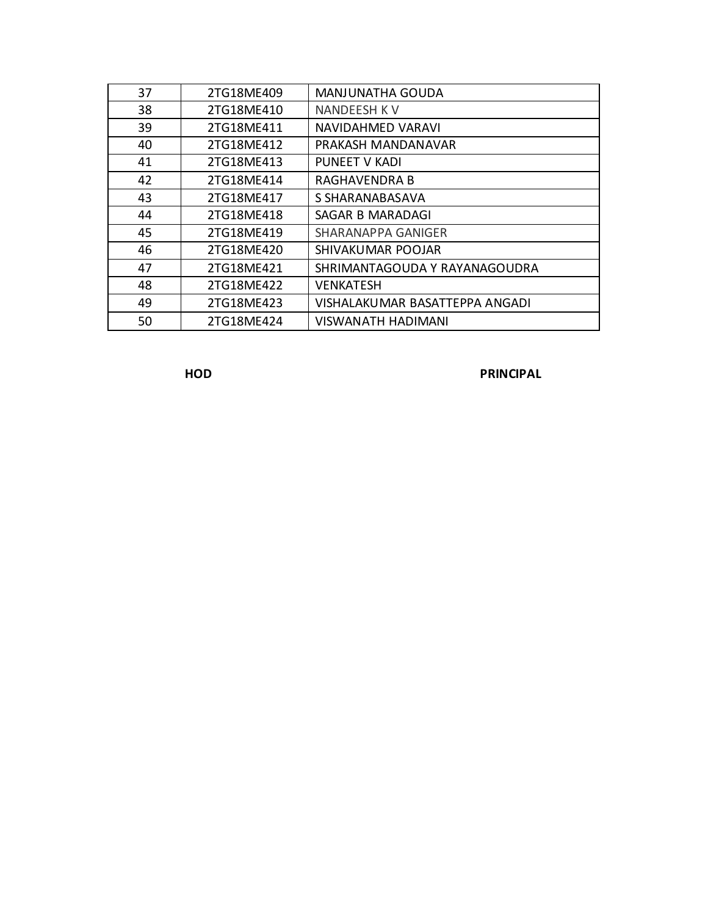| 37 | 2TG18ME409 | <b>MANJUNATHA GOUDA</b>        |
|----|------------|--------------------------------|
| 38 | 2TG18ME410 | NANDEESH K V                   |
| 39 | 2TG18ME411 | NAVIDAHMED VARAVI              |
| 40 | 2TG18ME412 | PRAKASH MANDANAVAR             |
| 41 | 2TG18ME413 | <b>PUNEET V KADI</b>           |
| 42 | 2TG18ME414 | RAGHAVENDRA B                  |
| 43 | 2TG18ME417 | S SHARANABASAVA                |
| 44 | 2TG18ME418 | SAGAR B MARADAGI               |
| 45 | 2TG18ME419 | <b>SHARANAPPA GANIGER</b>      |
| 46 | 2TG18ME420 | SHIVAKUMAR POOJAR              |
| 47 | 2TG18ME421 | SHRIMANTAGOUDA Y RAYANAGOUDRA  |
| 48 | 2TG18ME422 | <b>VENKATESH</b>               |
| 49 | 2TG18ME423 | VISHALAKUMAR BASATTEPPA ANGADI |
| 50 | 2TG18ME424 | VISWANATH HADIMANI             |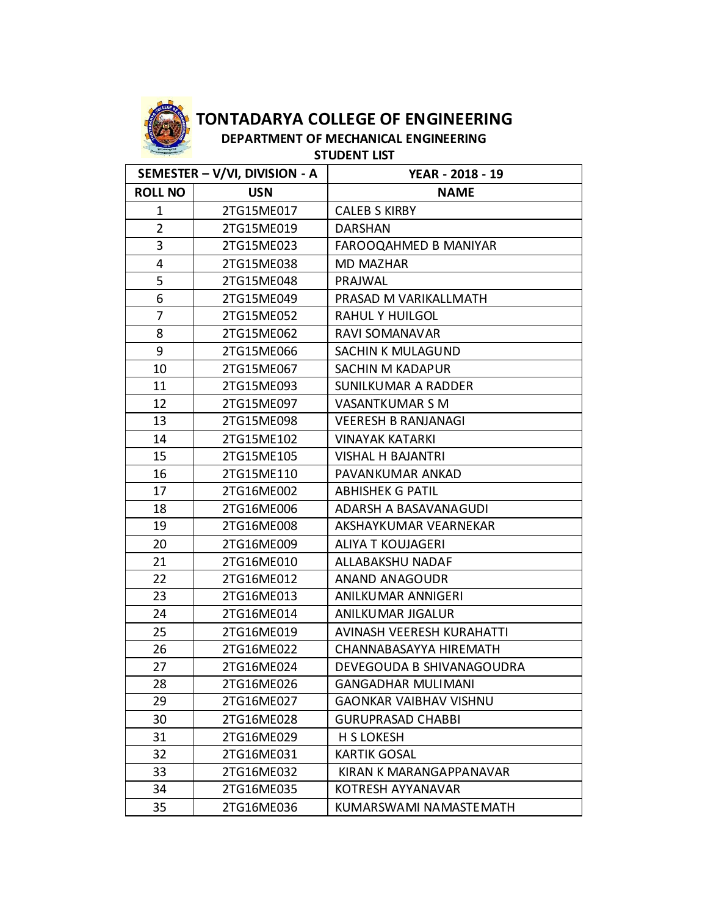

**DEPARTMENT OF MECHANICAL ENGINEERING** 

**STUDENT LIST**

| SEMESTER - V/VI, DIVISION - A |            | YEAR - 2018 - 19              |
|-------------------------------|------------|-------------------------------|
| <b>ROLL NO</b>                | <b>USN</b> | <b>NAME</b>                   |
| 1                             | 2TG15ME017 | <b>CALEB S KIRBY</b>          |
| $\overline{2}$                | 2TG15ME019 | <b>DARSHAN</b>                |
| 3                             | 2TG15ME023 | <b>FAROOQAHMED B MANIYAR</b>  |
| 4                             | 2TG15ME038 | <b>MD MAZHAR</b>              |
| 5                             | 2TG15ME048 | PRAJWAL                       |
| 6                             | 2TG15ME049 | PRASAD M VARIKALLMATH         |
| 7                             | 2TG15ME052 | <b>RAHUL Y HUILGOL</b>        |
| 8                             | 2TG15ME062 | RAVI SOMANAVAR                |
| 9                             | 2TG15ME066 | <b>SACHIN K MULAGUND</b>      |
| 10                            | 2TG15ME067 | <b>SACHIN M KADAPUR</b>       |
| 11                            | 2TG15ME093 | SUNILKUMAR A RADDER           |
| 12                            | 2TG15ME097 | <b>VASANTKUMAR S M</b>        |
| 13                            | 2TG15ME098 | <b>VEERESH B RANJANAGI</b>    |
| 14                            | 2TG15ME102 | <b>VINAYAK KATARKI</b>        |
| 15                            | 2TG15ME105 | <b>VISHAL H BAJANTRI</b>      |
| 16                            | 2TG15ME110 | PAVANKUMAR ANKAD              |
| 17                            | 2TG16ME002 | <b>ABHISHEK G PATIL</b>       |
| 18                            | 2TG16ME006 | ADARSH A BASAVANAGUDI         |
| 19                            | 2TG16ME008 | AKSHAYKUMAR VEARNEKAR         |
| 20                            | 2TG16ME009 | ALIYA T KOUJAGERI             |
| 21                            | 2TG16ME010 | ALLABAKSHU NADAF              |
| 22                            | 2TG16ME012 | ANAND ANAGOUDR                |
| 23                            | 2TG16ME013 | ANILKUMAR ANNIGERI            |
| 24                            | 2TG16ME014 | ANILKUMAR JIGALUR             |
| 25                            | 2TG16ME019 | AVINASH VEERESH KURAHATTI     |
| 26                            | 2TG16ME022 | CHANNABASAYYA HIREMATH        |
| 27                            | 2TG16ME024 | DEVEGOUDA B SHIVANAGOUDRA     |
| 28                            | 2TG16ME026 | <b>GANGADHAR MULIMANI</b>     |
| 29                            | 2TG16ME027 | <b>GAONKAR VAIBHAV VISHNU</b> |
| 30                            | 2TG16ME028 | <b>GURUPRASAD CHABBI</b>      |
| 31                            | 2TG16ME029 | H S LOKESH                    |
| 32                            | 2TG16ME031 | <b>KARTIK GOSAL</b>           |
| 33                            | 2TG16ME032 | KIRAN K MARANGAPPANAVAR       |
| 34                            | 2TG16ME035 | <b>KOTRESH AYYANAVAR</b>      |
| 35                            | 2TG16ME036 | KUMARSWAMI NAMASTEMATH        |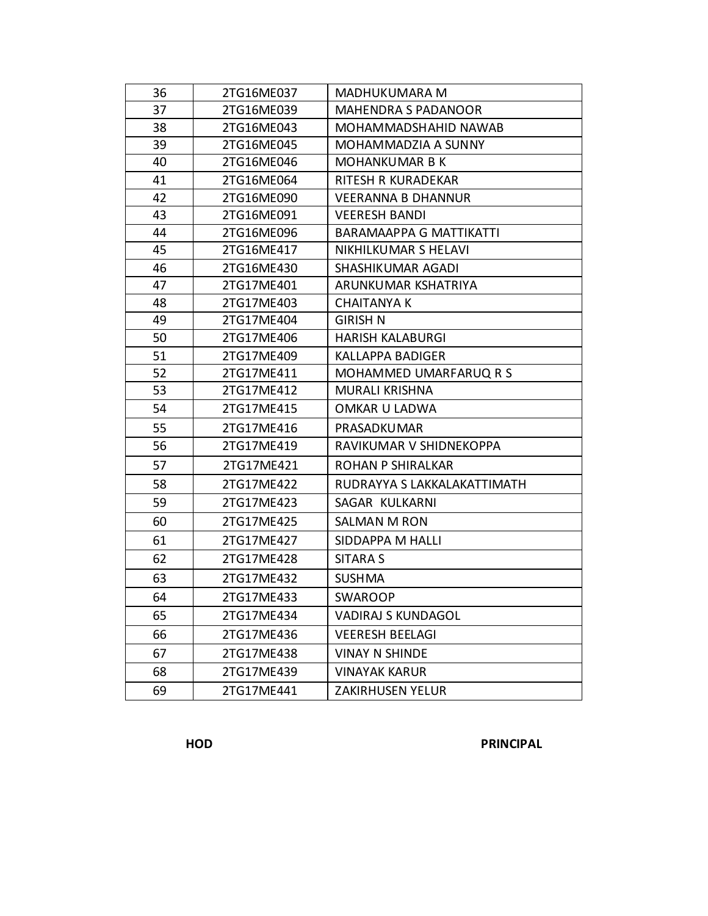| 36 | 2TG16ME037 | MADHUKUMARA M                  |
|----|------------|--------------------------------|
| 37 | 2TG16ME039 | <b>MAHENDRA S PADANOOR</b>     |
| 38 | 2TG16ME043 | MOHAMMADSHAHID NAWAB           |
| 39 | 2TG16ME045 | MOHAMMADZIA A SUNNY            |
| 40 | 2TG16ME046 | <b>MOHANKUMAR B K</b>          |
| 41 | 2TG16ME064 | RITESH R KURADEKAR             |
| 42 | 2TG16ME090 | <b>VEERANNA B DHANNUR</b>      |
| 43 | 2TG16ME091 | <b>VEERESH BANDI</b>           |
| 44 | 2TG16ME096 | <b>BARAMAAPPA G MATTIKATTI</b> |
| 45 | 2TG16ME417 | NIKHILKUMAR S HELAVI           |
| 46 | 2TG16ME430 | SHASHIKUMAR AGADI              |
| 47 | 2TG17ME401 | ARUNKUMAR KSHATRIYA            |
| 48 | 2TG17ME403 | <b>CHAITANYA K</b>             |
| 49 | 2TG17ME404 | <b>GIRISH N</b>                |
| 50 | 2TG17ME406 | <b>HARISH KALABURGI</b>        |
| 51 | 2TG17ME409 | <b>KALLAPPA BADIGER</b>        |
| 52 | 2TG17ME411 | MOHAMMED UMARFARUQ R S         |
| 53 | 2TG17ME412 | <b>MURALI KRISHNA</b>          |
| 54 | 2TG17ME415 | <b>OMKAR U LADWA</b>           |
| 55 | 2TG17ME416 | PRASADKUMAR                    |
| 56 | 2TG17ME419 | RAVIKUMAR V SHIDNEKOPPA        |
| 57 | 2TG17ME421 | <b>ROHAN P SHIRALKAR</b>       |
| 58 | 2TG17ME422 | RUDRAYYA S LAKKALAKATTIMATH    |
| 59 | 2TG17ME423 | SAGAR KULKARNI                 |
| 60 | 2TG17ME425 | SALMAN M RON                   |
| 61 | 2TG17ME427 | SIDDAPPA M HALLI               |
| 62 | 2TG17ME428 | <b>SITARA S</b>                |
| 63 | 2TG17ME432 | <b>SUSHMA</b>                  |
| 64 | 2TG17ME433 | <b>SWAROOP</b>                 |
| 65 | 2TG17ME434 | <b>VADIRAJ S KUNDAGOL</b>      |
| 66 | 2TG17ME436 | <b>VEERESH BEELAGI</b>         |
| 67 | 2TG17ME438 | <b>VINAY N SHINDE</b>          |
| 68 | 2TG17ME439 | <b>VINAYAK KARUR</b>           |
| 69 | 2TG17ME441 | <b>ZAKIRHUSEN YELUR</b>        |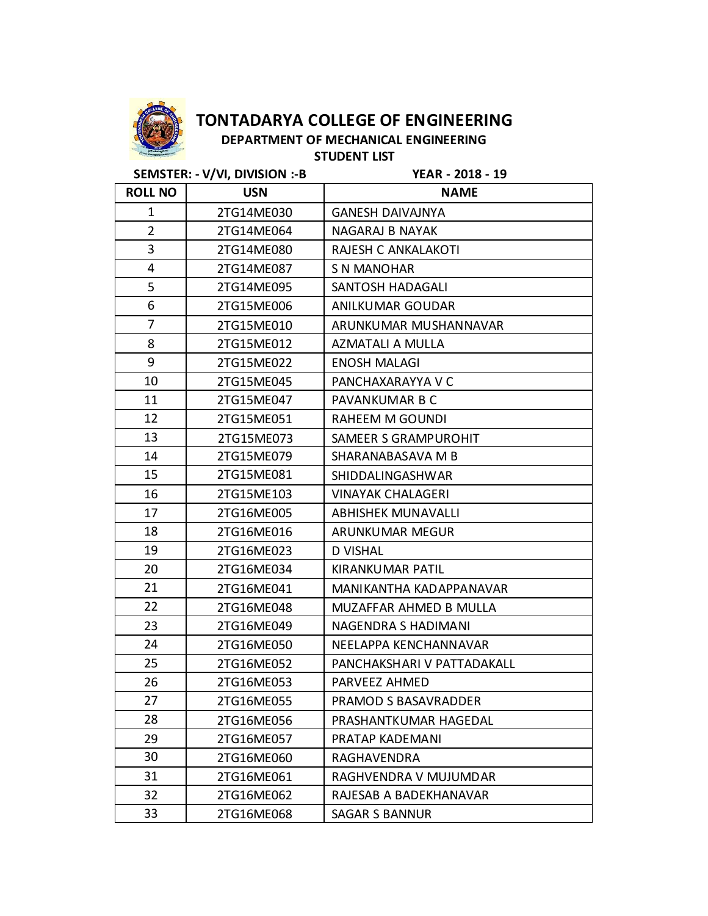

**DEPARTMENT OF MECHANICAL ENGINEERING STUDENT LIST**

**SEMSTER: - V/VI, DIVISION :-B YEAR - 2018 - 19**

| <b>ROLL NO</b> | <b>USN</b> | <b>NAME</b>                 |
|----------------|------------|-----------------------------|
| $\mathbf{1}$   | 2TG14ME030 | <b>GANESH DAIVAJNYA</b>     |
| $\overline{2}$ | 2TG14ME064 | <b>NAGARAJ B NAYAK</b>      |
| 3              | 2TG14ME080 | RAJESH C ANKALAKOTI         |
| 4              | 2TG14ME087 | S N MANOHAR                 |
| 5              | 2TG14ME095 | SANTOSH HADAGALI            |
| 6              | 2TG15ME006 | ANILKUMAR GOUDAR            |
| 7              | 2TG15ME010 | ARUNKUMAR MUSHANNAVAR       |
| 8              | 2TG15ME012 | AZMATALI A MULLA            |
| 9              | 2TG15ME022 | <b>ENOSH MALAGI</b>         |
| 10             | 2TG15ME045 | PANCHAXARAYYA V C           |
| 11             | 2TG15ME047 | PAVANKUMAR B C              |
| 12             | 2TG15ME051 | <b>RAHEEM M GOUNDI</b>      |
| 13             | 2TG15ME073 | <b>SAMEER S GRAMPUROHIT</b> |
| 14             | 2TG15ME079 | SHARANABASAVA M B           |
| 15             | 2TG15ME081 | <b>SHIDDALINGASHWAR</b>     |
| 16             | 2TG15ME103 | <b>VINAYAK CHALAGERI</b>    |
| 17             | 2TG16ME005 | <b>ABHISHEK MUNAVALLI</b>   |
| 18             | 2TG16ME016 | ARUNKUMAR MEGUR             |
| 19             | 2TG16ME023 | <b>D VISHAL</b>             |
| 20             | 2TG16ME034 | KIRANKUMAR PATIL            |
| 21             | 2TG16ME041 | MANIKANTHA KADAPPANAVAR     |
| 22             | 2TG16ME048 | MUZAFFAR AHMED B MULLA      |
| 23             | 2TG16ME049 | NAGENDRA S HADIMANI         |
| 24             | 2TG16ME050 | NEELAPPA KENCHANNAVAR       |
| 25             | 2TG16ME052 | PANCHAKSHARI V PATTADAKALL  |
| 26             | 2TG16ME053 | <b>PARVEEZ AHMED</b>        |
| 27             | 2TG16ME055 | PRAMOD S BASAVRADDER        |
| 28             | 2TG16ME056 | PRASHANTKUMAR HAGEDAL       |
| 29             | 2TG16ME057 | PRATAP KADEMANI             |
| 30             | 2TG16ME060 | RAGHAVENDRA                 |
| 31             | 2TG16ME061 | RAGHVENDRA V MUJUMDAR       |
| 32             | 2TG16ME062 | RAJESAB A BADEKHANAVAR      |
| 33             | 2TG16ME068 | <b>SAGAR S BANNUR</b>       |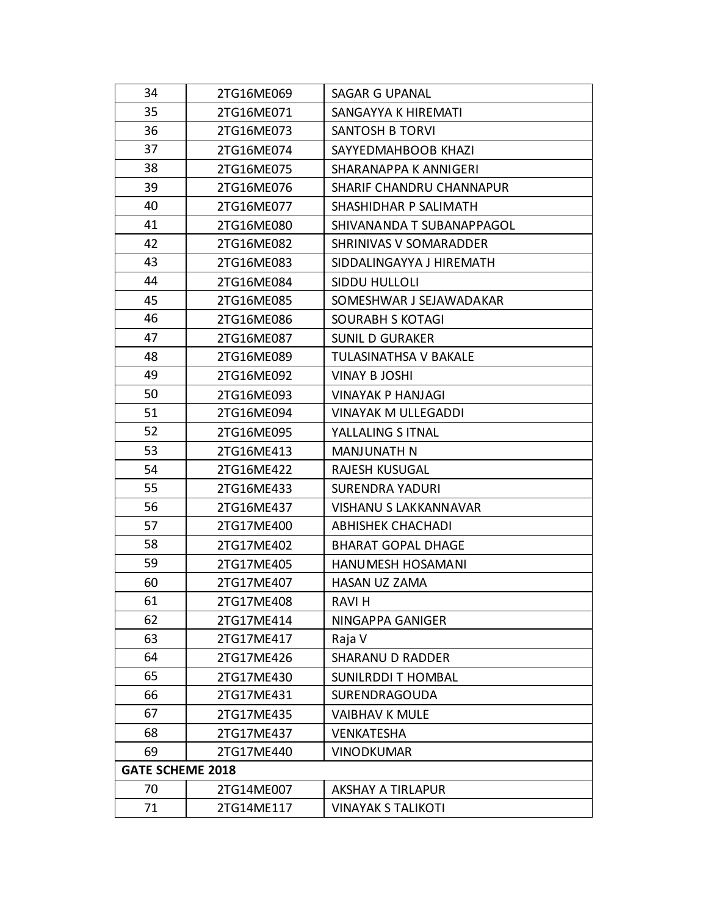| 34                      | 2TG16ME069 | SAGAR G UPANAL                  |
|-------------------------|------------|---------------------------------|
| 35                      | 2TG16ME071 | SANGAYYA K HIREMATI             |
| 36                      | 2TG16ME073 | SANTOSH B TORVI                 |
| 37                      | 2TG16ME074 | SAYYEDMAHBOOB KHAZI             |
| 38                      | 2TG16ME075 | SHARANAPPA K ANNIGERI           |
| 39                      | 2TG16ME076 | <b>SHARIF CHANDRU CHANNAPUR</b> |
| 40                      | 2TG16ME077 | SHASHIDHAR P SALIMATH           |
| 41                      | 2TG16ME080 | SHIVANANDA T SUBANAPPAGOL       |
| 42                      | 2TG16ME082 | SHRINIVAS V SOMARADDER          |
| 43                      | 2TG16ME083 | SIDDALINGAYYA J HIREMATH        |
| 44                      | 2TG16ME084 | <b>SIDDU HULLOLI</b>            |
| 45                      | 2TG16ME085 | SOMESHWAR J SEJAWADAKAR         |
| 46                      | 2TG16ME086 | <b>SOURABH S KOTAGI</b>         |
| 47                      | 2TG16ME087 | <b>SUNIL D GURAKER</b>          |
| 48                      | 2TG16ME089 | TULASINATHSA V BAKALE           |
| 49                      | 2TG16ME092 | VINAY B JOSHI                   |
| 50                      | 2TG16ME093 | <b>VINAYAK P HANJAGI</b>        |
| 51                      | 2TG16ME094 | <b>VINAYAK M ULLEGADDI</b>      |
| 52                      | 2TG16ME095 | YALLALING S ITNAL               |
| 53                      | 2TG16ME413 | <b>MANJUNATH N</b>              |
| 54                      | 2TG16ME422 | RAJESH KUSUGAL                  |
| 55                      | 2TG16ME433 | <b>SURENDRA YADURI</b>          |
| 56                      | 2TG16ME437 | VISHANU S LAKKANNAVAR           |
| 57                      | 2TG17ME400 | <b>ABHISHEK CHACHADI</b>        |
| 58                      | 2TG17ME402 | <b>BHARAT GOPAL DHAGE</b>       |
| 59                      | 2TG17ME405 | HANUMESH HOSAMANI               |
| 60                      | 2TG17ME407 | <b>HASAN UZ ZAMA</b>            |
| 61                      | 2TG17ME408 | RAVI H                          |
| 62                      | 2TG17ME414 | NINGAPPA GANIGER                |
| 63                      | 2TG17ME417 | Raja V                          |
| 64                      | 2TG17ME426 | <b>SHARANU D RADDER</b>         |
| 65                      | 2TG17ME430 | <b>SUNILRDDI T HOMBAL</b>       |
| 66                      | 2TG17ME431 | <b>SURENDRAGOUDA</b>            |
| 67                      | 2TG17ME435 | <b>VAIBHAV K MULE</b>           |
| 68                      | 2TG17ME437 | <b>VENKATESHA</b>               |
| 69                      | 2TG17ME440 | <b>VINODKUMAR</b>               |
| <b>GATE SCHEME 2018</b> |            |                                 |
| 70                      | 2TG14ME007 | <b>AKSHAY A TIRLAPUR</b>        |
| 71                      | 2TG14ME117 | <b>VINAYAK S TALIKOTI</b>       |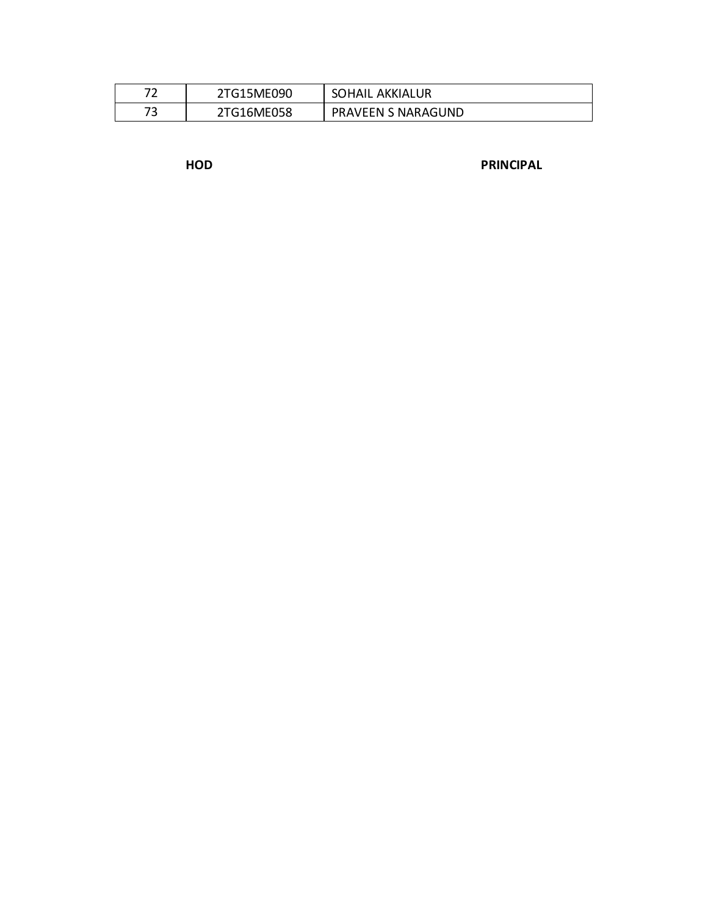| - - | 2TG15ME090 | SOHAIL AKKIALUR           |
|-----|------------|---------------------------|
|     | 2TG16ME058 | <b>PRAVEEN S NARAGUND</b> |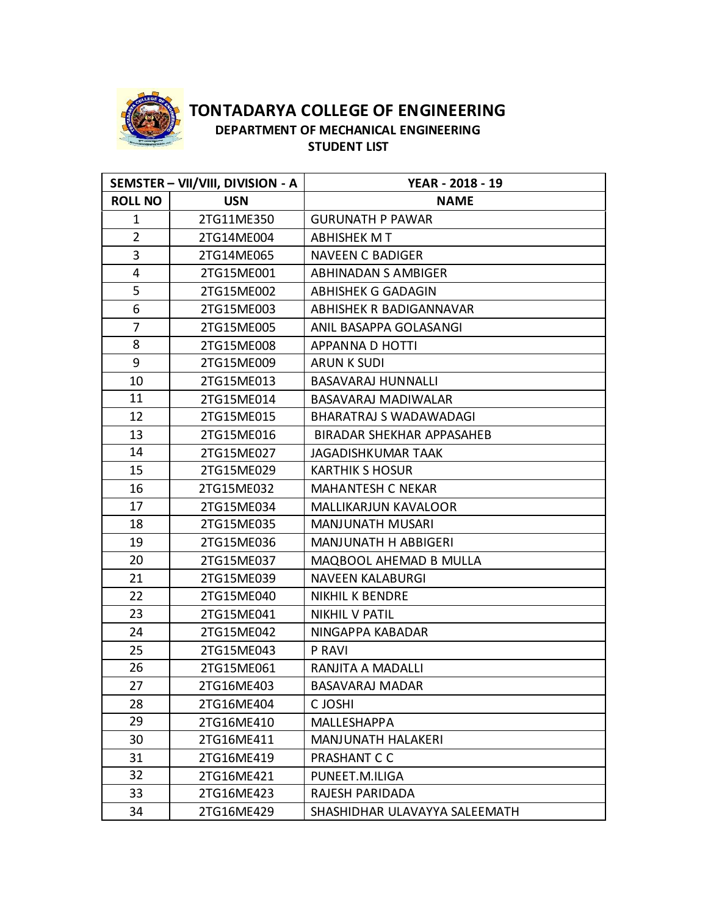

**TONTADARYA COLLEGE OF ENGINEERING DEPARTMENT OF MECHANICAL ENGINEERING STUDENT LIST**

|                | SEMSTER - VII/VIII, DIVISION - A | YEAR - 2018 - 19              |
|----------------|----------------------------------|-------------------------------|
| <b>ROLL NO</b> | <b>USN</b>                       | <b>NAME</b>                   |
| $\mathbf{1}$   | 2TG11ME350                       | <b>GURUNATH P PAWAR</b>       |
| $\overline{2}$ | 2TG14ME004                       | ABHISHEK M T                  |
| 3              | 2TG14ME065                       | <b>NAVEEN C BADIGER</b>       |
| 4              | 2TG15ME001                       | <b>ABHINADAN S AMBIGER</b>    |
| 5              | 2TG15ME002                       | <b>ABHISHEK G GADAGIN</b>     |
| 6              | 2TG15ME003                       | ABHISHEK R BADIGANNAVAR       |
| 7              | 2TG15ME005                       | ANIL BASAPPA GOLASANGI        |
| 8              | 2TG15ME008                       | APPANNA D HOTTI               |
| 9              | 2TG15ME009                       | <b>ARUN K SUDI</b>            |
| 10             | 2TG15ME013                       | <b>BASAVARAJ HUNNALLI</b>     |
| 11             | 2TG15ME014                       | BASAVARAJ MADIWALAR           |
| 12             | 2TG15ME015                       | <b>BHARATRAJ S WADAWADAGI</b> |
| 13             | 2TG15ME016                       | BIRADAR SHEKHAR APPASAHEB     |
| 14             | 2TG15ME027                       | JAGADISHKUMAR TAAK            |
| 15             | 2TG15ME029                       | <b>KARTHIK S HOSUR</b>        |
| 16             | 2TG15ME032                       | <b>MAHANTESH C NEKAR</b>      |
| 17             | 2TG15ME034                       | <b>MALLIKARJUN KAVALOOR</b>   |
| 18             | 2TG15ME035                       | <b>MANJUNATH MUSARI</b>       |
| 19             | 2TG15ME036                       | <b>MANJUNATH H ABBIGERI</b>   |
| 20             | 2TG15ME037                       | MAQBOOL AHEMAD B MULLA        |
| 21             | 2TG15ME039                       | <b>NAVEEN KALABURGI</b>       |
| 22             | 2TG15ME040                       | <b>NIKHIL K BENDRE</b>        |
| 23             | 2TG15ME041                       | <b>NIKHIL V PATIL</b>         |
| 24             | 2TG15ME042                       | NINGAPPA KABADAR              |
| 25             | 2TG15ME043                       | P RAVI                        |
| 26             | 2TG15ME061                       | RANJITA A MADALLI             |
| 27             | 2TG16ME403                       | BASAVARAJ MADAR               |
| 28             | 2TG16ME404                       | C JOSHI                       |
| 29             | 2TG16ME410                       | MALLESHAPPA                   |
| 30             | 2TG16ME411                       | <b>MANJUNATH HALAKERI</b>     |
| 31             | 2TG16ME419                       | PRASHANT C C                  |
| 32             | 2TG16ME421                       | PUNEET.M.ILIGA                |
| 33             | 2TG16ME423                       | RAJESH PARIDADA               |
| 34             | 2TG16ME429                       | SHASHIDHAR ULAVAYYA SALEEMATH |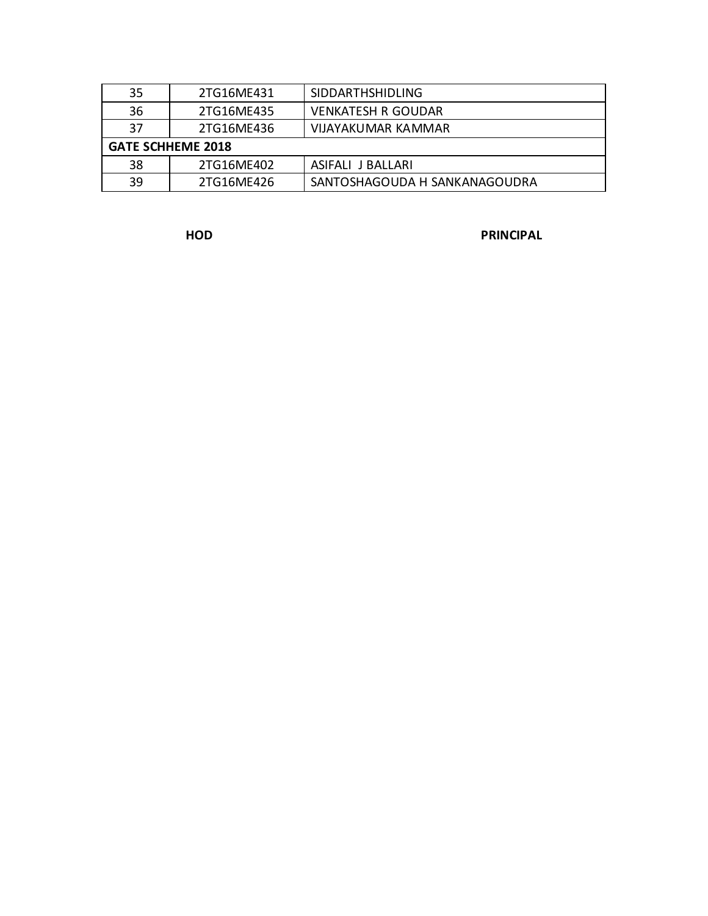| 35                       | 2TG16ME431 | <b>SIDDARTHSHIDLING</b>       |
|--------------------------|------------|-------------------------------|
| 36                       | 2TG16ME435 | <b>VENKATESH R GOUDAR</b>     |
| 37                       | 2TG16ME436 | VIJAYAKUMAR KAMMAR            |
| <b>GATE SCHHEME 2018</b> |            |                               |
| 38                       | 2TG16ME402 | ASIFALI J BALLARI             |
| 39                       | 2TG16ME426 | SANTOSHAGOUDA H SANKANAGOUDRA |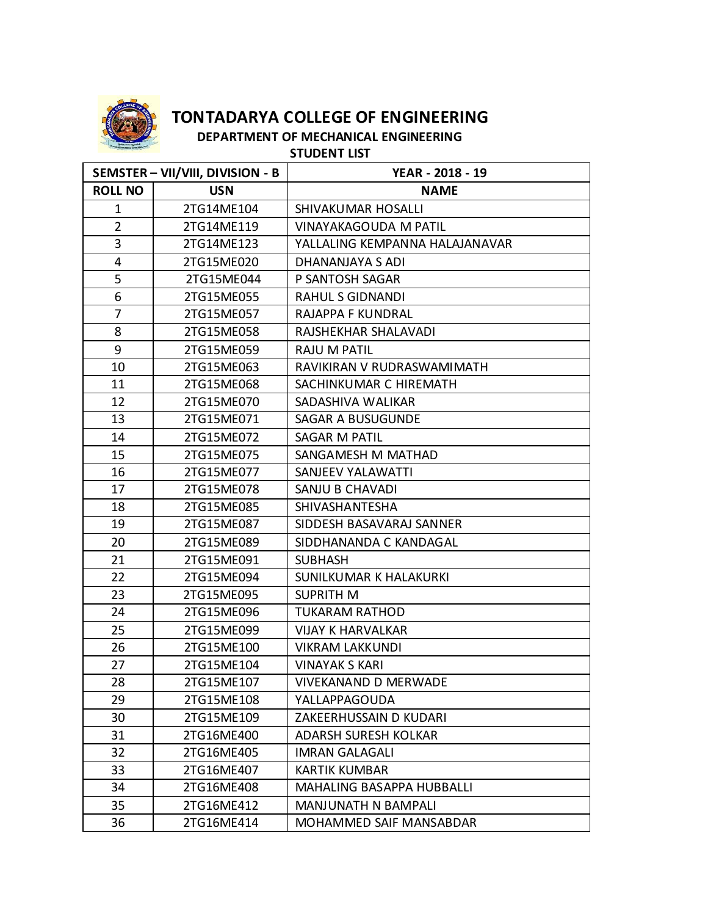

**DEPARTMENT OF MECHANICAL ENGINEERING STUDENT LIST**

| SEMSTER - VII/VIII, DIVISION - B |            | YEAR - 2018 - 19               |
|----------------------------------|------------|--------------------------------|
| <b>ROLL NO</b>                   | <b>USN</b> | <b>NAME</b>                    |
| $\mathbf{1}$                     | 2TG14ME104 | SHIVAKUMAR HOSALLI             |
| $\overline{2}$                   | 2TG14ME119 | VINAYAKAGOUDA M PATIL          |
| 3                                | 2TG14ME123 | YALLALING KEMPANNA HALAJANAVAR |
| 4                                | 2TG15ME020 | DHANANJAYA S ADI               |
| 5                                | 2TG15ME044 | P SANTOSH SAGAR                |
| 6                                | 2TG15ME055 | <b>RAHUL S GIDNANDI</b>        |
| 7                                | 2TG15ME057 | <b>RAJAPPA F KUNDRAL</b>       |
| 8                                | 2TG15ME058 | RAJSHEKHAR SHALAVADI           |
| 9                                | 2TG15ME059 | <b>RAJU M PATIL</b>            |
| 10                               | 2TG15ME063 | RAVIKIRAN V RUDRASWAMIMATH     |
| 11                               | 2TG15ME068 | SACHINKUMAR C HIREMATH         |
| 12                               | 2TG15ME070 | SADASHIVA WALIKAR              |
| 13                               | 2TG15ME071 | SAGAR A BUSUGUNDE              |
| 14                               | 2TG15ME072 | <b>SAGAR M PATIL</b>           |
| 15                               | 2TG15ME075 | SANGAMESH M MATHAD             |
| 16                               | 2TG15ME077 | SANJEEV YALAWATTI              |
| 17                               | 2TG15ME078 | SANJU B CHAVADI                |
| 18                               | 2TG15ME085 | SHIVASHANTESHA                 |
| 19                               | 2TG15ME087 | SIDDESH BASAVARAJ SANNER       |
| 20                               | 2TG15ME089 | SIDDHANANDA C KANDAGAL         |
| 21                               | 2TG15ME091 | <b>SUBHASH</b>                 |
| 22                               | 2TG15ME094 | SUNILKUMAR K HALAKURKI         |
| 23                               | 2TG15ME095 | <b>SUPRITH M</b>               |
| 24                               | 2TG15ME096 | <b>TUKARAM RATHOD</b>          |
| 25                               | 2TG15ME099 | <b>VIJAY K HARVALKAR</b>       |
| 26                               | 2TG15ME100 | <b>VIKRAM LAKKUNDI</b>         |
| 27                               | 2TG15ME104 | <b>VINAYAK S KARI</b>          |
| 28                               | 2TG15ME107 | <b>VIVEKANAND D MERWADE</b>    |
| 29                               | 2TG15ME108 | YALLAPPAGOUDA                  |
| 30                               | 2TG15ME109 | ZAKEERHUSSAIN D KUDARI         |
| 31                               | 2TG16ME400 | ADARSH SURESH KOLKAR           |
| 32                               | 2TG16ME405 | <b>IMRAN GALAGALI</b>          |
| 33                               | 2TG16ME407 | <b>KARTIK KUMBAR</b>           |
| 34                               | 2TG16ME408 | MAHALING BASAPPA HUBBALLI      |
| 35                               | 2TG16ME412 | <b>MANJUNATH N BAMPALI</b>     |
| 36                               | 2TG16ME414 | MOHAMMED SAIF MANSABDAR        |